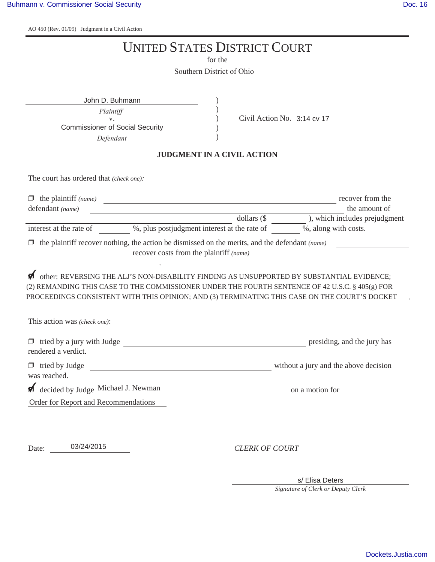$\Lambda$ O 450 (Rev. 01/09) Judgment in a Civil Action

|                                                                                                | <b>UNITED STATES DISTRICT COURT</b>                                                                                                                                                                                                                                                           |
|------------------------------------------------------------------------------------------------|-----------------------------------------------------------------------------------------------------------------------------------------------------------------------------------------------------------------------------------------------------------------------------------------------|
|                                                                                                | for the                                                                                                                                                                                                                                                                                       |
|                                                                                                | Southern District of Ohio                                                                                                                                                                                                                                                                     |
| John D. Buhmann<br>Plaintiff<br>V.<br><b>Commissioner of Social Security</b><br>Defendant      | Civil Action No. 3:14 cv 17                                                                                                                                                                                                                                                                   |
|                                                                                                | <b>JUDGMENT IN A CIVIL ACTION</b>                                                                                                                                                                                                                                                             |
| The court has ordered that (check one):                                                        |                                                                                                                                                                                                                                                                                               |
| $\Box$ the plaintiff (name)<br>defendant (name)                                                | recover from the<br><u> 1980 - Johann Barbara, martxa alemaniar amerikan basar da a</u><br>the amount of<br>dollars $(\$$<br>), which includes prejudgment                                                                                                                                    |
| interest at the rate of                                                                        | %, plus postjudgment interest at the rate of<br>%, along with costs.                                                                                                                                                                                                                          |
| the plaintiff recover nothing, the action be dismissed on the merits, and the defendant (name) | recover costs from the plaintiff (name)                                                                                                                                                                                                                                                       |
|                                                                                                | other: REVERSING THE ALJ'S NON-DISABILITY FINDING AS UNSUPPORTED BY SUBSTANTIAL EVIDENCE;<br>(2) REMANDING THIS CASE TO THE COMMISSIONER UNDER THE FOURTH SENTENCE OF 42 U.S.C. § 405(g) FOR<br>PROCEEDINGS CONSISTENT WITH THIS OPINION; AND (3) TERMINATING THIS CASE ON THE COURT'S DOCKET |
| This action was (check one):                                                                   |                                                                                                                                                                                                                                                                                               |
| tried by a jury with Judge<br>rendered a verdict.                                              | presiding, and the jury has                                                                                                                                                                                                                                                                   |
| tried by Judge<br>was reached.                                                                 | without a jury and the above decision                                                                                                                                                                                                                                                         |
| decided by Judge Michael J. Newman                                                             | on a motion for                                                                                                                                                                                                                                                                               |
| Order for Report and Recommendations                                                           |                                                                                                                                                                                                                                                                                               |
|                                                                                                |                                                                                                                                                                                                                                                                                               |
| 03/24/2015<br>Date:                                                                            | <b>CLERK OF COURT</b>                                                                                                                                                                                                                                                                         |

s/ Elisa Deters

*Signature of Clerk or Deputy Clerk*